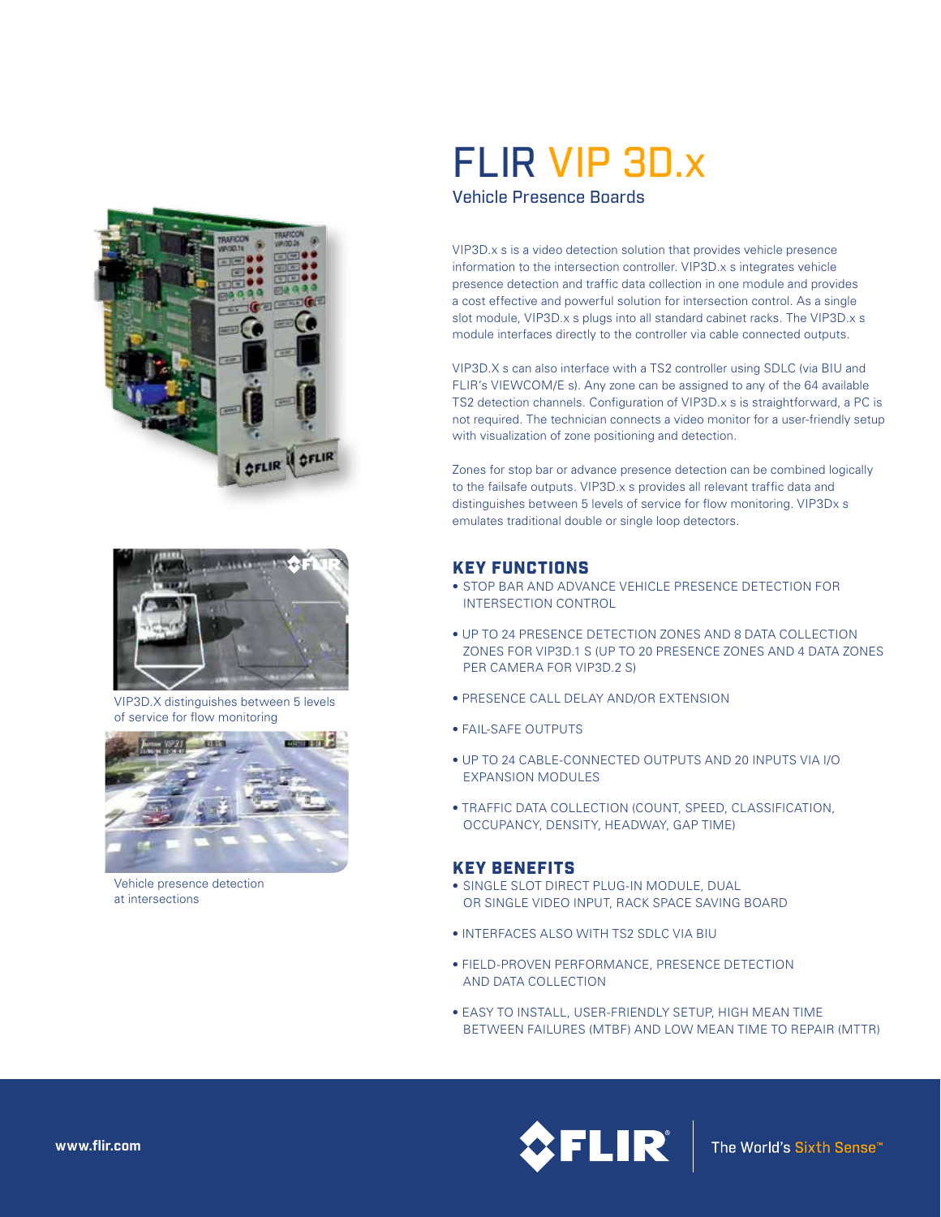



VIP3D.X distinguishes between 5 levels of service for flow monitoring



Vehicle presence detection at intersections

# FLIR VIP 3D.x

Vehicle Presence Boards

VIP3D.x s is a video detection solution that provides vehicle presence information to the intersection controller. VIP3D.x s integrates vehicle presence detection and traffic data collection in one module and provides a cost effective and powerful solution for intersection control. As a single slot module, VIP3D.x s plugs into all standard cabinet racks. The VIP3D.x s module interfaces directly to the controller via cable connected outputs.

VIP3D.X s can also interface with a TS2 controller using SDLC (via BIU and FLIR's VIEWCOM/E s). Any zone can be assigned to any of the 64 available TS2 detection channels. Configuration of VIP3D.x s is straightforward, a PC is not required. The technician connects a video monitor for a user-friendly setup with visualization of zone positioning and detection.

Zones for stop bar or advance presence detection can be combined logically to the failsafe outputs. VIP3D.x s provides all relevant traffic data and distinguishes between 5 levels of service for flow monitoring. VIP3Dx s emulates traditional double or single loop detectors.

## KEY FUNCTIONS

- STOP BAR AND ADVANCE VEHICLE PRESENCE DETECTION FOR INTERSECTION CONTROL
- UP TO 24 PRESENCE DETECTION ZONES AND 8 DATA COLLECTION ZONES FOR VIP3D.1 S (UP TO 20 PRESENCE ZONES AND 4 DATA ZONES PER CAMERA FOR VIP3D.2 S)
- PRESENCE CALL DELAY AND/OR EXTENSION
- FAIL-SAFE OUTPUTS
- UP TO 24 CABLE-CONNECTED OUTPUTS AND 20 INPUTS VIA I/O EXPANSION MODULES
- TRAFFIC DATA COLLECTION (COUNT, SPEED, CLASSIFICATION, OCCUPANCY, DENSITY, HEADWAY, GAP TIME)

#### KEY BENEFITS

- SINGLE SLOT DIRECT PLUG-IN MODULE, DUAL OR SINGLE VIDEO INPUT, RACK SPACE SAVING BOARD
- INTERFACES ALSO WITH TS2 SDLC VIA BIU
- FIELD-PROVEN PERFORMANCE, PRESENCE DETECTION AND DATA COLLECTION
- EASY TO INSTALL, USER-FRIENDLY SETUP, HIGH MEAN TIME BETWEEN FAILURES (MTBF) AND LOW MEAN TIME TO REPAIR (MTTR)